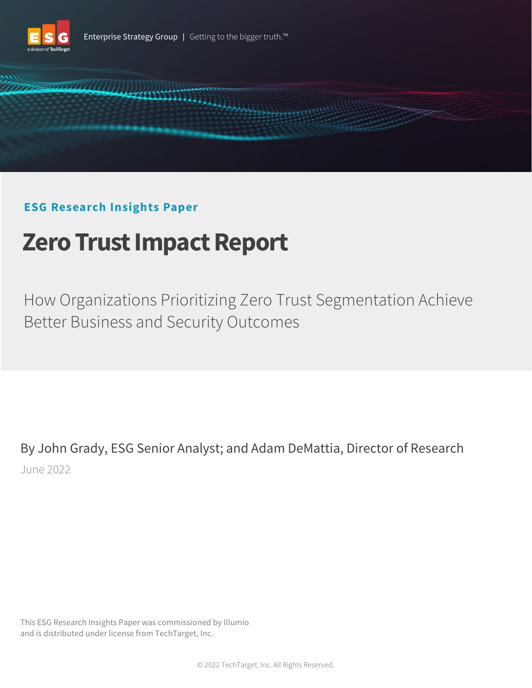



# **ESG Research Insights Paper**

# **Zero Trust Impact Report**

How Organizations Prioritizing Zero Trust Segmentation Achieve Better Business and Security Outcomes

By John Grady, ESG Senior Analyst; and Adam DeMattia, Director of Research June 2022

This ESG Research Insights Paper was commissioned by Illumio and is distributed under license from TechTarget, Inc.

© 2022 TechTarget, Inc. All Rights Reserved.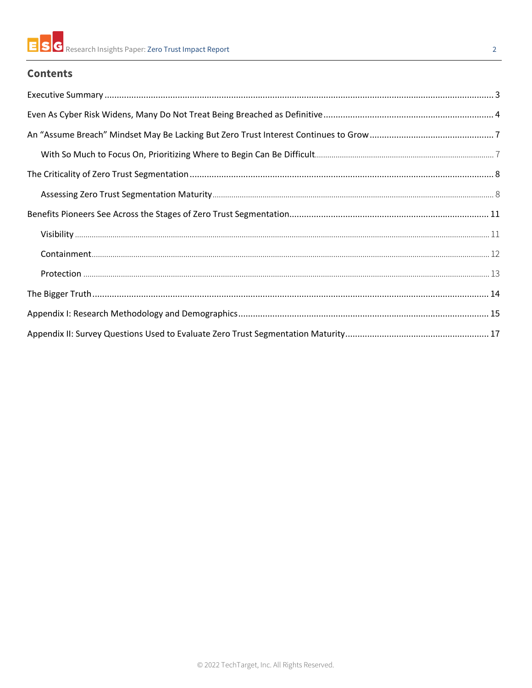## **Contents**

| ${\color{red} Visibility\,}\,{}_{\color{blue} \,}\,{}_{\color{blue} \,}\,{}_{\color{blue} \,}\,{}_{\color{blue} \,}\,{}_{\color{blue} \,}\,{}_{\color{blue} \,}\,{}_{\color{blue} \,}\,{}_{\color{blue} \,}\,{}_{\color{blue} \,}\,{}_{\color{blue} \,}\,{}_{\color{blue} \,}\,{}_{\color{blue} \,}\,{}_{\color{blue} \,}\,{}_{\color{blue} \,}\,{}_{\color{blue} \,}\,{}_{\color{blue} \,}\,{}_{\color{blue} \,}\,{}_{\color{blue} \,}\,{}_{\color{blue} \,}\$ |
|-----------------------------------------------------------------------------------------------------------------------------------------------------------------------------------------------------------------------------------------------------------------------------------------------------------------------------------------------------------------------------------------------------------------------------------------------------------------|
|                                                                                                                                                                                                                                                                                                                                                                                                                                                                 |
|                                                                                                                                                                                                                                                                                                                                                                                                                                                                 |
|                                                                                                                                                                                                                                                                                                                                                                                                                                                                 |
|                                                                                                                                                                                                                                                                                                                                                                                                                                                                 |
|                                                                                                                                                                                                                                                                                                                                                                                                                                                                 |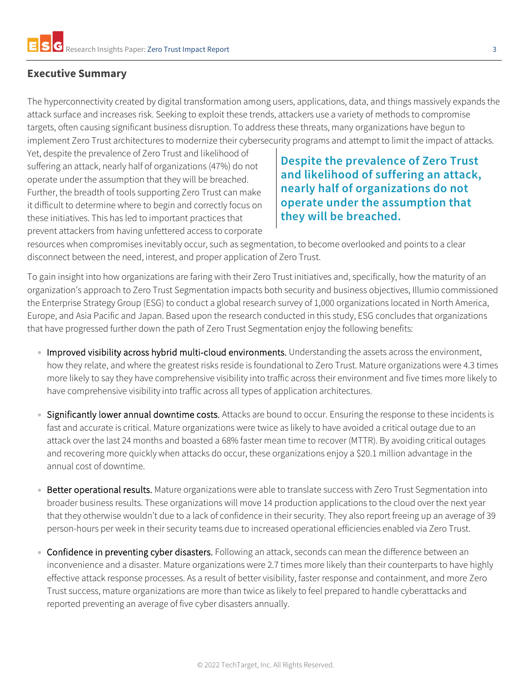## <span id="page-2-0"></span>**Executive Summary**

The hyperconnectivity created by digital transformation among users, applications, data, and things massively expands the attack surface and increases risk. Seeking to exploit these trends, attackers use a variety of methods to compromise targets, often causing significant business disruption. To address these threats, many organizations have begun to implement Zero Trust architectures to modernize their cybersecurity programs and attempt to limit the impact of attacks.

Yet, despite the prevalence of Zero Trust and likelihood of suffering an attack, nearly half of organizations (47%) do not operate under the assumption that they will be breached. Further, the breadth of tools supporting Zero Trust can make it difficult to determine where to begin and correctly focus on these initiatives. This has led to important practices that prevent attackers from having unfettered access to corporate

# **Despite the prevalence of Zero Trust and likelihood of suffering an attack, nearly half of organizations do not operate under the assumption that they will be breached.**

resources when compromises inevitably occur, such as segmentation, to become overlooked and points to a clear disconnect between the need, interest, and proper application of Zero Trust.

To gain insight into how organizations are faring with their Zero Trust initiatives and, specifically, how the maturity of an organization's approach to Zero Trust Segmentation impacts both security and business objectives, Illumio commissioned the Enterprise Strategy Group (ESG) to conduct a global research survey of 1,000 organizations located in North America, Europe, and Asia Pacific and Japan. Based upon the research conducted in this study, ESG concludes that organizations that have progressed further down the path of Zero Trust Segmentation enjoy the following benefits:

- Improved visibility across hybrid multi-cloud environments. Understanding the assets across the environment, how they relate, and where the greatest risks reside is foundational to Zero Trust. Mature organizations were 4.3 times more likely to say they have comprehensive visibility into traffic across their environment and five times more likely to have comprehensive visibility into traffic across all types of application architectures.
- Significantly lower annual downtime costs. Attacks are bound to occur. Ensuring the response to these incidents is fast and accurate is critical. Mature organizations were twice as likely to have avoided a critical outage due to an attack over the last 24 months and boasted a 68% faster mean time to recover (MTTR). By avoiding critical outages and recovering more quickly when attacks do occur, these organizations enjoy a \$20.1 million advantage in the annual cost of downtime.
- Better operational results. Mature organizations were able to translate success with Zero Trust Segmentation into broader business results. These organizations will move 14 production applications to the cloud over the next year that they otherwise wouldn't due to a lack of confidence in their security. They also report freeing up an average of 39 person-hours per week in their security teams due to increased operational efficiencies enabled via Zero Trust.
- Confidence in preventing cyber disasters. Following an attack, seconds can mean the difference between an inconvenience and a disaster. Mature organizations were 2.7 times more likely than their counterparts to have highly effective attack response processes. As a result of better visibility, faster response and containment, and more Zero Trust success, mature organizations are more than twice as likely to feel prepared to handle cyberattacks and reported preventing an average of five cyber disasters annually.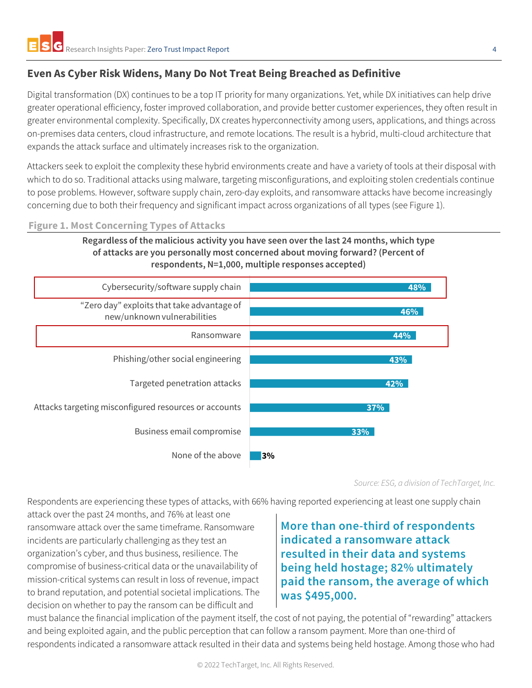# <span id="page-3-0"></span>**Even As Cyber Risk Widens, Many Do Not Treat Being Breached as Definitive**

Digital transformation (DX) continues to be a top IT priority for many organizations. Yet, while DX initiatives can help drive greater operational efficiency, foster improved collaboration, and provide better customer experiences, they often result in greater environmental complexity. Specifically, DX creates hyperconnectivity among users, applications, and things across on-premises data centers, cloud infrastructure, and remote locations. The result is a hybrid, multi-cloud architecture that expands the attack surface and ultimately increases risk to the organization.

Attackers seek to exploit the complexity these hybrid environments create and have a variety of tools at their disposal with which to do so. Traditional attacks using malware, targeting misconfigurations, and exploiting stolen credentials continue to pose problems. However, software supply chain, zero-day exploits, and ransomware attacks have become increasingly concerning due to both their frequency and significant impact across organizations of all types (see Figure 1).

#### **Figure 1. Most Concerning Types of Attacks**

**Regardless of the malicious activity you have seen over the last 24 months, which type of attacks are you personally most concerned about moving forward? (Percent of respondents, N=1,000, multiple responses accepted)**



*Source: ESG, a division of TechTarget, Inc.*

Respondents are experiencing these types of attacks, with 66% having reported experiencing at least one supply chain

attack over the past 24 months, and 76% at least one ransomware attack over the same timeframe. Ransomware incidents are particularly challenging as they test an organization's cyber, and thus business, resilience. The compromise of business-critical data or the unavailability of mission-critical systems can result in loss of revenue, impact to brand reputation, and potential societal implications. The decision on whether to pay the ransom can be difficult and

**More than one-third of respondents indicated a ransomware attack resulted in their data and systems being held hostage; 82% ultimately paid the ransom, the average of which was \$495,000.**

must balance the financial implication of the payment itself, the cost of not paying, the potential of "rewarding" attackers and being exploited again, and the public perception that can follow a ransom payment. More than one-third of respondents indicated a ransomware attack resulted in their data and systems being held hostage. Among those who had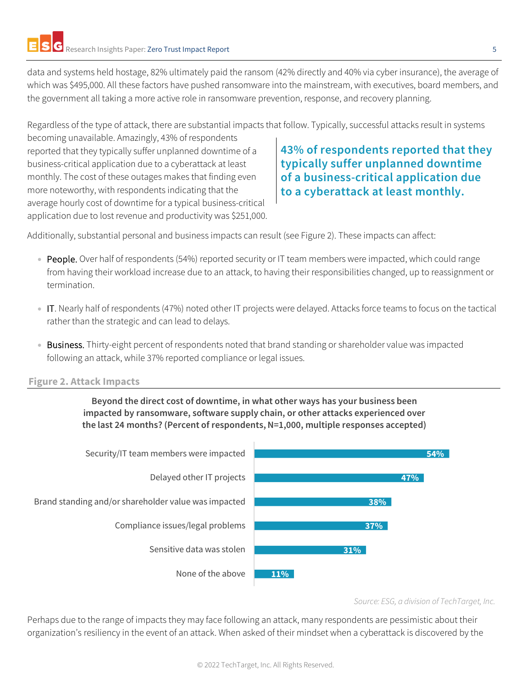data and systems held hostage, 82% ultimately paid the ransom (42% directly and 40% via cyber insurance), the average of which was \$495,000. All these factors have pushed ransomware into the mainstream, with executives, board members, and the government all taking a more active role in ransomware prevention, response, and recovery planning.

Regardless of the type of attack, there are substantial impacts that follow. Typically, successful attacks result in systems

becoming unavailable. Amazingly, 43% of respondents reported that they typically suffer unplanned downtime of a business-critical application due to a cyberattack at least monthly. The cost of these outages makes that finding even more noteworthy, with respondents indicating that the average hourly cost of downtime for a typical business-critical application due to lost revenue and productivity was \$251,000.

# **43% of respondents reported that they typically suffer unplanned downtime of a business-critical application due to a cyberattack at least monthly.**

Additionally, substantial personal and business impacts can result (see Figure 2). These impacts can affect:

- People. Over half of respondents (54%) reported security or IT team members were impacted, which could range from having their workload increase due to an attack, to having their responsibilities changed, up to reassignment or termination.
- IT. Nearly half of respondents (47%) noted other IT projects were delayed. Attacks force teams to focus on the tactical rather than the strategic and can lead to delays.
- Business. Thirty-eight percent of respondents noted that brand standing or shareholder value was impacted following an attack, while 37% reported compliance or legal issues.

### **Figure 2. Attack Impacts**

**Beyond the direct cost of downtime, in what other ways has your business been impacted by ransomware, software supply chain, or other attacks experienced over the last 24 months? (Percent of respondents, N=1,000, multiple responses accepted)**



*Source: ESG, a division of TechTarget, Inc.*

Perhaps due to the range of impacts they may face following an attack, many respondents are pessimistic about their organization's resiliency in the event of an attack. When asked of their mindset when a cyberattack is discovered by the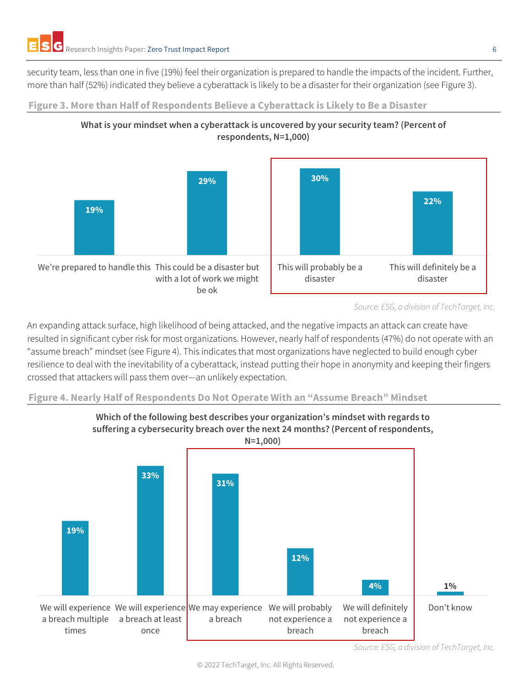security team, less than one in five (19%) feel their organization is prepared to handle the impacts of the incident. Further, more than half (52%) indicated they believe a cyberattack is likely to be a disaster for their organization (see Figure 3).





**What is your mindset when a cyberattack is uncovered by your security team? (Percent of** 

**respondents, N=1,000)**

An expanding attack surface, high likelihood of being attacked, and the negative impacts an attack can create have resulted in significant cyber risk for most organizations. However, nearly half of respondents (47%) do not operate with an "assume breach" mindset (see Figure 4). This indicates that most organizations have neglected to build enough cyber resilience to deal with the inevitability of a cyberattack, instead putting their hope in anonymity and keeping their fingers crossed that attackers will pass them over—an unlikely expectation.

## **Figure 4. Nearly Half of Respondents Do Not Operate With an "Assume Breach" Mindset**



**Which of the following best describes your organization's mindset with regards to suffering a cybersecurity breach over the next 24 months? (Percent of respondents,** 

© 2022 TechTarget, Inc. All Rights Reserved.

*Source: ESG, a division of TechTarget, Inc.*

*Source: ESG, a division of TechTarget, Inc.*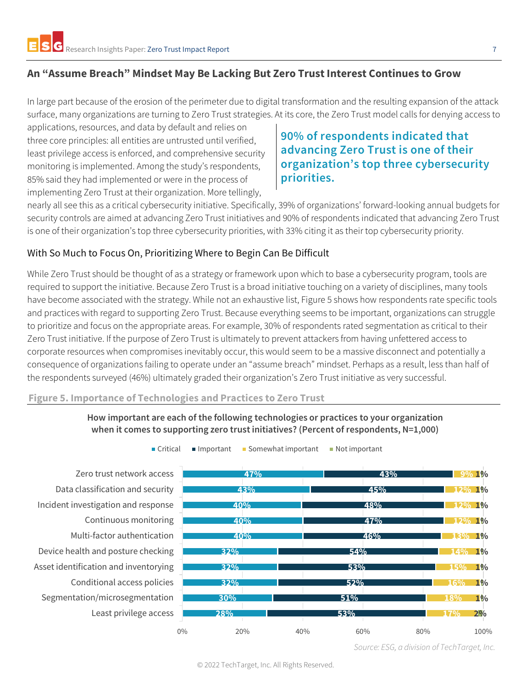## <span id="page-6-0"></span>**An "Assume Breach" Mindset May Be Lacking But Zero TrustInterest Continues to Grow**

In large part because of the erosion of the perimeter due to digital transformation and the resulting expansion of the attack surface, many organizations are turning to Zero Trust strategies. At its core, the Zero Trust model calls for denying access to

applications, resources, and data by default and relies on three core principles: all entities are untrusted until verified, least privilege access is enforced, and comprehensive security monitoring is implemented. Among the study's respondents, 85% said they had implemented or were in the process of implementing Zero Trust at their organization. More tellingly,

# **90% of respondents indicated that advancing Zero Trust is one of their organization's top three cybersecurity priorities.**

nearly all see this as a critical cybersecurity initiative. Specifically, 39% of organizations' forward-looking annual budgets for security controls are aimed at advancing Zero Trust initiatives and 90% of respondents indicated that advancing Zero Trust is one of their organization's top three cybersecurity priorities, with 33% citing it as their top cybersecurity priority.

## <span id="page-6-1"></span>With So Much to Focus On, Prioritizing Where to Begin Can Be Difficult

While Zero Trust should be thought of as a strategy or framework upon which to base a cybersecurity program, tools are required to support the initiative. Because Zero Trust is a broad initiative touching on a variety of disciplines, many tools have become associated with the strategy. While not an exhaustive list, Figure 5 shows how respondents rate specific tools and practices with regard to supporting Zero Trust. Because everything seems to be important, organizations can struggle to prioritize and focus on the appropriate areas. For example, 30% of respondents rated segmentation as critical to their Zero Trust initiative. If the purpose of Zero Trust is ultimately to prevent attackers from having unfettered access to corporate resources when compromises inevitably occur, this would seem to be a massive disconnect and potentially a consequence of organizations failing to operate under an "assume breach" mindset. Perhaps as a result, less than half of the respondents surveyed (46%) ultimately graded their organization's Zero Trust initiative as very successful.

#### **Figure 5. Importance of Technologies and Practices to Zero Trust**



■ Critical ■ Important ■ Somewhat important ■ Not important

Least privilege access Segmentation/microsegmentation Conditional access policies Asset identification and inventorying Device health and posture checking Multi-factor authentication Continuous monitoring Incident investigation and response Data classification and security Zero trust network access

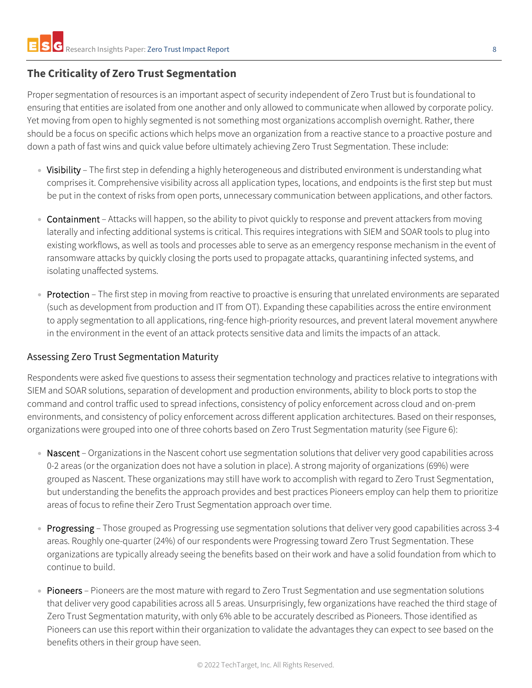# <span id="page-7-0"></span>**The Criticality of Zero Trust Segmentation**

Proper segmentation of resources is an important aspect of security independent of Zero Trust but is foundational to ensuring that entities are isolated from one another and only allowed to communicate when allowed by corporate policy. Yet moving from open to highly segmented is not something most organizations accomplish overnight. Rather, there should be a focus on specific actions which helps move an organization from a reactive stance to a proactive posture and down a path of fast wins and quick value before ultimately achieving Zero Trust Segmentation. These include:

- Visibility The first step in defending a highly heterogeneous and distributed environment is understanding what comprises it. Comprehensive visibility across all application types, locations, and endpoints is the first step but must be put in the context of risks from open ports, unnecessary communication between applications, and other factors.
- Containment Attacks will happen, so the ability to pivot quickly to response and prevent attackers from moving laterally and infecting additional systems is critical. This requires integrations with SIEM and SOAR tools to plug into existing workflows, as well as tools and processes able to serve as an emergency response mechanism in the event of ransomware attacks by quickly closing the ports used to propagate attacks, quarantining infected systems, and isolating unaffected systems.
- Protection The first step in moving from reactive to proactive is ensuring that unrelated environments are separated (such as development from production and IT from OT). Expanding these capabilities across the entire environment to apply segmentation to all applications, ring-fence high-priority resources, and prevent lateral movement anywhere in the environment in the event of an attack protects sensitive data and limits the impacts of an attack.

### <span id="page-7-1"></span>Assessing Zero Trust Segmentation Maturity

Respondents were asked five questions to assess their segmentation technology and practices relative to integrations with SIEM and SOAR solutions, separation of development and production environments, ability to block ports to stop the command and control traffic used to spread infections, consistency of policy enforcement across cloud and on-prem environments, and consistency of policy enforcement across different application architectures. Based on their responses, organizations were grouped into one of three cohorts based on Zero Trust Segmentation maturity (see Figure 6):

- Nascent Organizations in the Nascent cohort use segmentation solutions that deliver very good capabilities across 0-2 areas (or the organization does not have a solution in place). A strong majority of organizations (69%) were grouped as Nascent. These organizations may still have work to accomplish with regard to Zero Trust Segmentation, but understanding the benefits the approach provides and best practices Pioneers employ can help them to prioritize areas of focus to refine their Zero Trust Segmentation approach over time.
- Progressing Those grouped as Progressing use segmentation solutions that deliver very good capabilities across 3-4 areas. Roughly one-quarter (24%) of our respondents were Progressing toward Zero Trust Segmentation. These organizations are typically already seeing the benefits based on their work and have a solid foundation from which to continue to build.
- Pioneers Pioneers are the most mature with regard to Zero Trust Segmentation and use segmentation solutions that deliver very good capabilities across all 5 areas. Unsurprisingly, few organizations have reached the third stage of Zero Trust Segmentation maturity, with only 6% able to be accurately described as Pioneers. Those identified as Pioneers can use this report within their organization to validate the advantages they can expect to see based on the benefits others in their group have seen.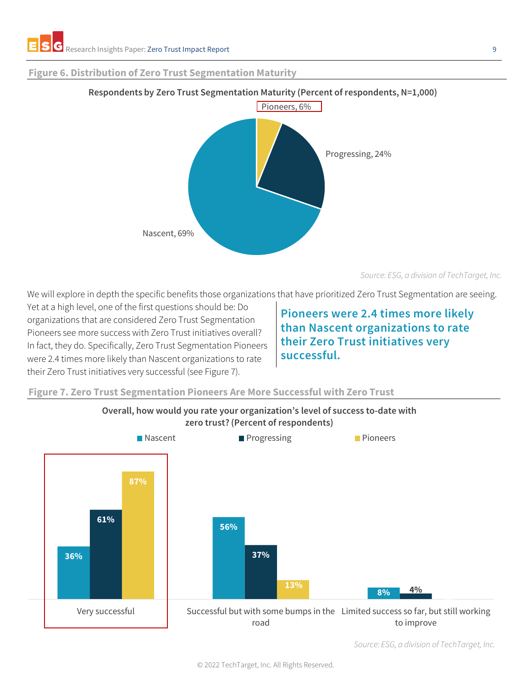#### **Figure 6. Distribution of Zero Trust Segmentation Maturity**



#### **Respondents by Zero Trust Segmentation Maturity (Percent of respondents, N=1,000)**

*Source: ESG, a division of TechTarget, Inc.*

We will explore in depth the specific benefits those organizations that have prioritized Zero Trust Segmentation are seeing.

Yet at a high level, one of the first questions should be: Do organizations that are considered Zero Trust Segmentation Pioneers see more success with Zero Trust initiatives overall? In fact, they do. Specifically, Zero Trust Segmentation Pioneers were 2.4 times more likely than Nascent organizations to rate their Zero Trust initiatives very successful (see Figure 7).

# **Pioneers were 2.4 times more likely than Nascent organizations to rate their Zero Trust initiatives very successful.**

#### **Figure 7. Zero Trust Segmentation Pioneers Are More Successful with Zero Trust**



**Overall, how would you rate your organization's level of success to-date with zero trust? (Percent of respondents)**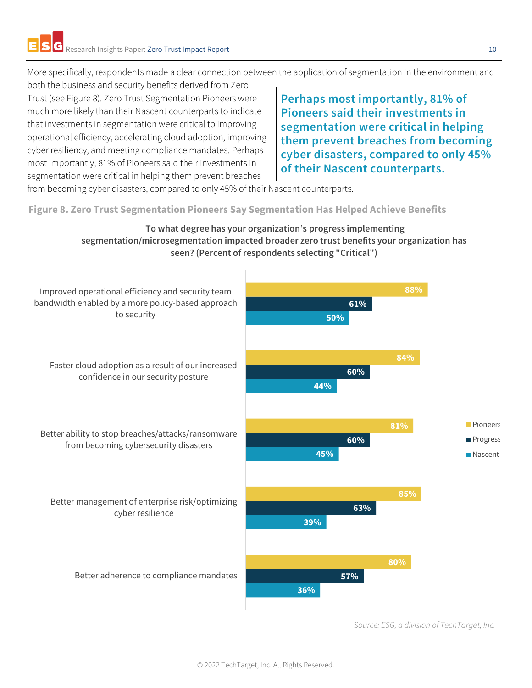More specifically, respondents made a clear connection between the application of segmentation in the environment and

both the business and security benefits derived from Zero Trust (see Figure 8). Zero Trust Segmentation Pioneers were much more likely than their Nascent counterparts to indicate that investments in segmentation were critical to improving operational efficiency, accelerating cloud adoption, improving cyber resiliency, and meeting compliance mandates. Perhaps most importantly, 81% of Pioneers said their investments in segmentation were critical in helping them prevent breaches

**Perhaps most importantly, 81% of Pioneers said their investments in segmentation were critical in helping them prevent breaches from becoming cyber disasters, compared to only 45% of their Nascent counterparts.**

from becoming cyber disasters, compared to only 45% of their Nascent counterparts.

**Figure 8. Zero Trust Segmentation Pioneers Say Segmentation Has Helped Achieve Benefits**

## **To what degree has your organization's progress implementing segmentation/microsegmentation impacted broader zero trust benefits your organization has seen? (Percent of respondents selecting "Critical")**



*Source: ESG, a division of TechTarget, Inc.*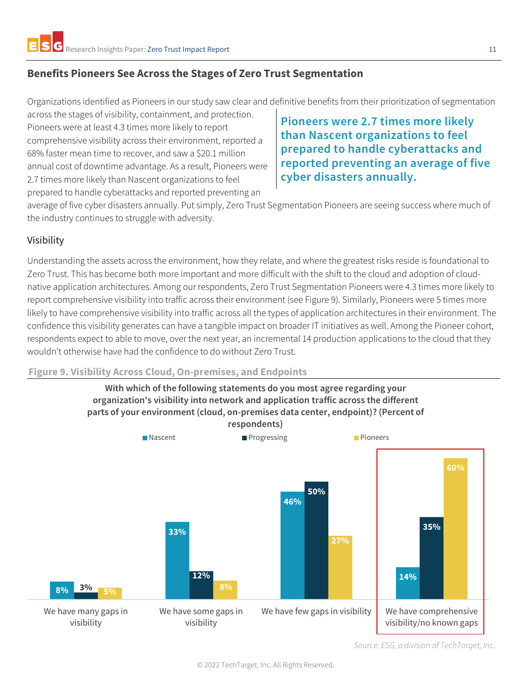## <span id="page-10-0"></span>**Benefits Pioneers See Across the Stages of Zero Trust Segmentation**

Organizations identified as Pioneers in our study saw clear and definitive benefits from their prioritization of segmentation

across the stages of visibility, containment, and protection. Pioneers were at least 4.3 times more likely to report comprehensive visibility across their environment, reported a 68% faster mean time to recover, and saw a \$20.1 million annual cost of downtime advantage. As a result, Pioneers were 2.7 times more likely than Nascent organizations to feel prepared to handle cyberattacks and reported preventing an

**Pioneers were 2.7 times more likely than Nascent organizations to feel prepared to handle cyberattacks and reported preventing an average of five cyber disasters annually.**

average of five cyber disasters annually. Put simply, Zero Trust Segmentation Pioneers are seeing success where much of the industry continues to struggle with adversity.

## <span id="page-10-1"></span>Visibility

Understanding the assets across the environment, how they relate, and where the greatest risks reside is foundational to Zero Trust. This has become both more important and more difficult with the shift to the cloud and adoption of cloudnative application architectures. Among our respondents, Zero Trust Segmentation Pioneers were 4.3 times more likely to report comprehensive visibility into traffic across their environment (see Figure 9). Similarly, Pioneers were 5 times more likely to have comprehensive visibility into traffic across all the types of application architectures in their environment. The confidence this visibility generates can have a tangible impact on broader IT initiatives as well. Among the Pioneer cohort, respondents expect to able to move, over the next year, an incremental 14 production applications to the cloud that they wouldn't otherwise have had the confidence to do without Zero Trust.

#### **Figure 9. Visibility Across Cloud, On-premises, and Endpoints**

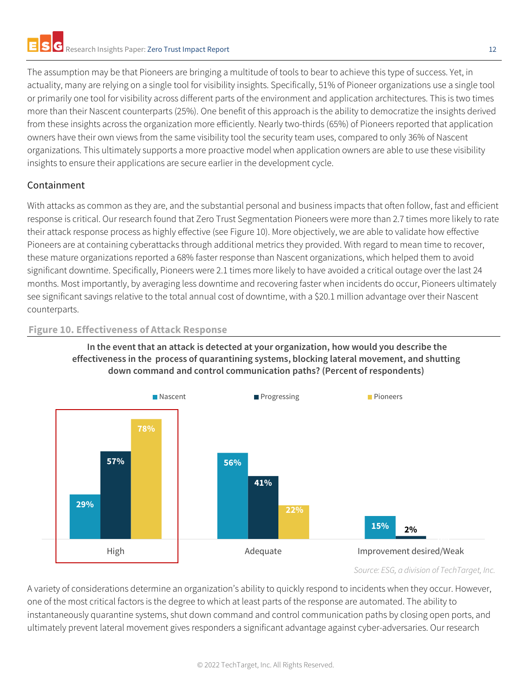The assumption may be that Pioneers are bringing a multitude of tools to bear to achieve this type of success. Yet, in actuality, many are relying on a single tool for visibility insights. Specifically, 51% of Pioneer organizations use a single tool or primarily one tool for visibility across different parts of the environment and application architectures. This is two times more than their Nascent counterparts (25%). One benefit of this approach is the ability to democratize the insights derived from these insights across the organization more efficiently. Nearly two-thirds (65%) of Pioneers reported that application owners have their own views from the same visibility tool the security team uses, compared to only 36% of Nascent organizations. This ultimately supports a more proactive model when application owners are able to use these visibility insights to ensure their applications are secure earlier in the development cycle.

## <span id="page-11-0"></span>Containment

With attacks as common as they are, and the substantial personal and business impacts that often follow, fast and efficient response is critical. Our research found that Zero Trust Segmentation Pioneers were more than 2.7 times more likely to rate their attack response process as highly effective (see Figure 10). More objectively, we are able to validate how effective Pioneers are at containing cyberattacks through additional metrics they provided. With regard to mean time to recover, these mature organizations reported a 68% faster response than Nascent organizations, which helped them to avoid significant downtime. Specifically, Pioneers were 2.1 times more likely to have avoided a critical outage over the last 24 months. Most importantly, by averaging less downtime and recovering faster when incidents do occur, Pioneers ultimately see significant savings relative to the total annual cost of downtime, with a \$20.1 million advantage over their Nascent counterparts.

### **Figure 10. Effectiveness of Attack Response**



#### **In the event that an attack is detected at your organization, how would you describe the effectiveness in the process of quarantining systems, blocking lateral movement, and shutting down command and control communication paths? (Percent of respondents)**

#### *Source: ESG, a division of TechTarget, Inc.*

A variety of considerations determine an organization's ability to quickly respond to incidents when they occur. However, one of the most critical factors is the degree to which at least parts of the response are automated. The ability to instantaneously quarantine systems, shut down command and control communication paths by closing open ports, and ultimately prevent lateral movement gives responders a significant advantage against cyber-adversaries. Our research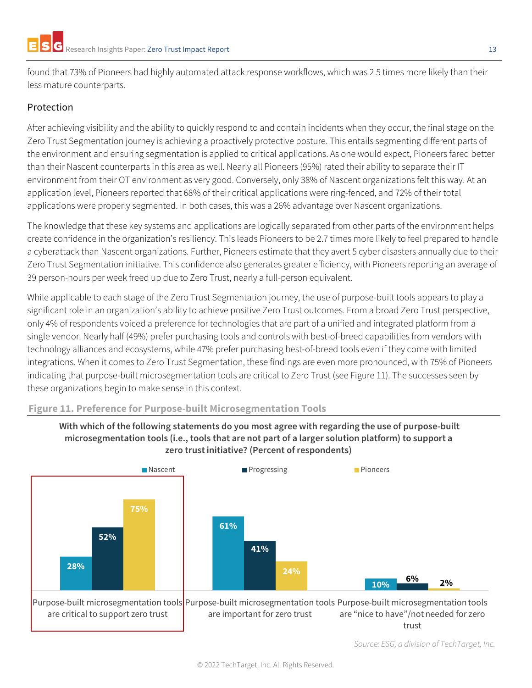found that 73% of Pioneers had highly automated attack response workflows, which was 2.5 times more likely than their less mature counterparts.

## <span id="page-12-0"></span>Protection

After achieving visibility and the ability to quickly respond to and contain incidents when they occur, the final stage on the Zero Trust Segmentation journey is achieving a proactively protective posture. This entails segmenting different parts of the environment and ensuring segmentation is applied to critical applications. As one would expect, Pioneers fared better than their Nascent counterparts in this area as well. Nearly all Pioneers (95%) rated their ability to separate their IT environment from their OT environment as very good. Conversely, only 38% of Nascent organizations felt this way. At an application level, Pioneers reported that 68% of their critical applications were ring-fenced, and 72% of their total applications were properly segmented. In both cases, this was a 26% advantage over Nascent organizations.

The knowledge that these key systems and applications are logically separated from other parts of the environment helps create confidence in the organization's resiliency. This leads Pioneers to be 2.7 times more likely to feel prepared to handle a cyberattack than Nascent organizations. Further, Pioneers estimate that they avert 5 cyber disasters annually due to their Zero Trust Segmentation initiative. This confidence also generates greater efficiency, with Pioneers reporting an average of 39 person-hours per week freed up due to Zero Trust, nearly a full-person equivalent.

While applicable to each stage of the Zero Trust Segmentation journey, the use of purpose-built tools appears to play a significant role in an organization's ability to achieve positive Zero Trust outcomes. From a broad Zero Trust perspective, only 4% of respondents voiced a preference for technologies that are part of a unified and integrated platform from a single vendor. Nearly half (49%) prefer purchasing tools and controls with best-of-breed capabilities from vendors with technology alliances and ecosystems, while 47% prefer purchasing best-of-breed tools even if they come with limited integrations. When it comes to Zero Trust Segmentation, these findings are even more pronounced, with 75% of Pioneers indicating that purpose-built microsegmentation tools are critical to Zero Trust (see Figure 11). The successes seen by these organizations begin to make sense in this context.

#### **Figure 11. Preference for Purpose-built Microsegmentation Tools**



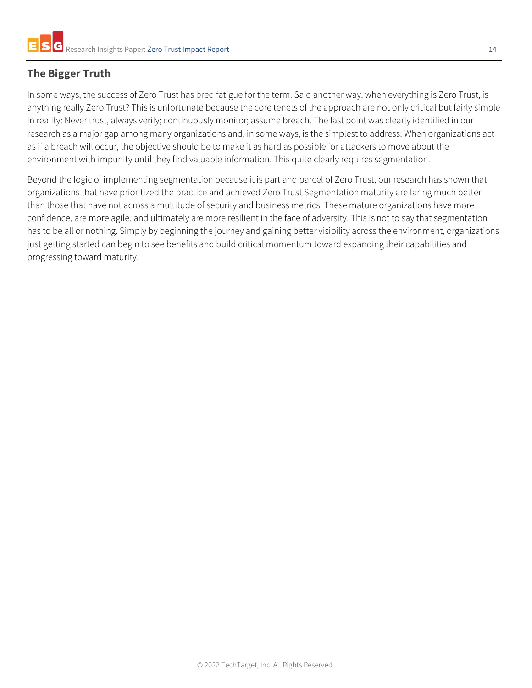# <span id="page-13-0"></span>**The Bigger Truth**

In some ways, the success of Zero Trust has bred fatigue for the term. Said another way, when everything is Zero Trust, is anything really Zero Trust? This is unfortunate because the core tenets of the approach are not only critical but fairly simple in reality: Never trust, always verify; continuously monitor; assume breach. The last point was clearly identified in our research as a major gap among many organizations and, in some ways, is the simplest to address: When organizations act as if a breach will occur, the objective should be to make it as hard as possible for attackers to move about the environment with impunity until they find valuable information. This quite clearly requires segmentation.

Beyond the logic of implementing segmentation because it is part and parcel of Zero Trust, our research has shown that organizations that have prioritized the practice and achieved Zero Trust Segmentation maturity are faring much better than those that have not across a multitude of security and business metrics. These mature organizations have more confidence, are more agile, and ultimately are more resilient in the face of adversity. This is not to say that segmentation has to be all or nothing. Simply by beginning the journey and gaining better visibility across the environment, organizations just getting started can begin to see benefits and build critical momentum toward expanding their capabilities and progressing toward maturity.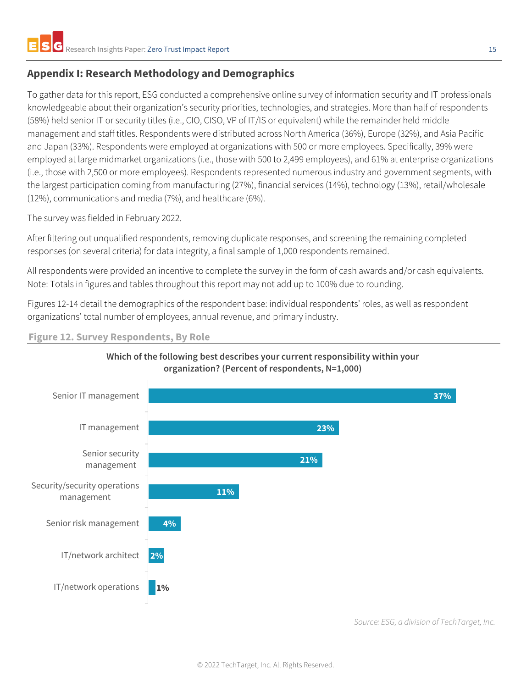## <span id="page-14-0"></span>**Appendix I: Research Methodology and Demographics**

To gather data for this report, ESG conducted a comprehensive online survey of information security and IT professionals knowledgeable about their organization's security priorities, technologies, and strategies. More than half of respondents (58%) held senior IT or security titles (i.e., CIO, CISO, VP of IT/IS or equivalent) while the remainder held middle management and staff titles. Respondents were distributed across North America (36%), Europe (32%), and Asia Pacific and Japan (33%). Respondents were employed at organizations with 500 or more employees. Specifically, 39% were employed at large midmarket organizations (i.e., those with 500 to 2,499 employees), and 61% at enterprise organizations (i.e., those with 2,500 or more employees). Respondents represented numerous industry and government segments, with the largest participation coming from manufacturing (27%), financial services (14%), technology (13%), retail/wholesale (12%), communications and media (7%), and healthcare (6%).

The survey was fielded in February 2022.

After filtering out unqualified respondents, removing duplicate responses, and screening the remaining completed responses (on several criteria) for data integrity, a final sample of 1,000 respondents remained.

All respondents were provided an incentive to complete the survey in the form of cash awards and/or cash equivalents. Note: Totals in figures and tables throughout this report may not add up to 100% due to rounding.

Figures 12-14 detail the demographics of the respondent base: individual respondents' roles, as well as respondent organizations' total number of employees, annual revenue, and primary industry.

**Figure 12. Survey Respondents, By Role**



## **Which of the following best describes your current responsibility within your organization? (Percent of respondents, N=1,000)**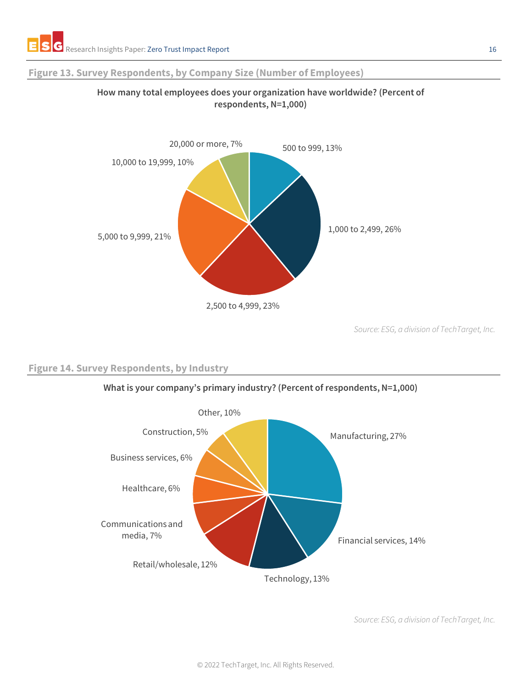#### **Figure 13. Survey Respondents, by Company Size (Number of Employees)**



**How many total employees does your organization have worldwide? (Percent of respondents, N=1,000)**

*Source: ESG, a division of TechTarget, Inc.*

#### **Figure 14. Survey Respondents, by Industry**



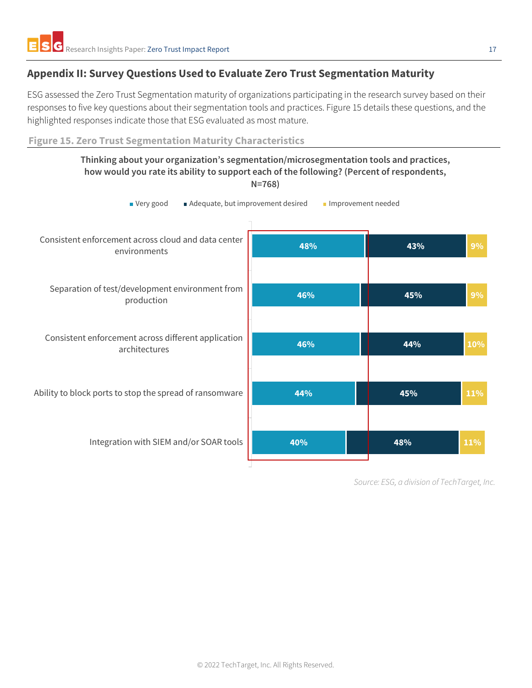## <span id="page-16-0"></span>**Appendix II: Survey Questions Used to Evaluate Zero Trust Segmentation Maturity**

ESG assessed the Zero Trust Segmentation maturity of organizations participating in the research survey based on their responses to five key questions about their segmentation tools and practices. Figure 15 details these questions, and the highlighted responses indicate those that ESG evaluated as most mature.

**Figure 15. Zero Trust Segmentation Maturity Characteristics**

#### **Thinking about your organization's segmentation/microsegmentation tools and practices, how would you rate its ability to support each of the following? (Percent of respondents, N=768)**